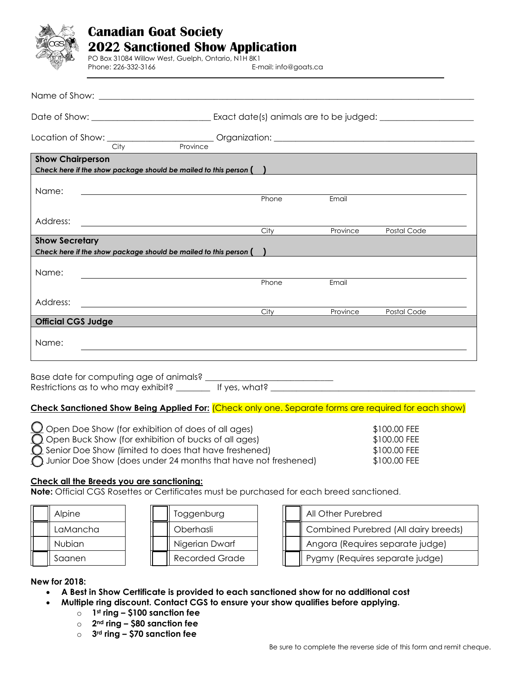## **Canadian Goat Society 202**2 **Sanctioned Show Application**  PO Box 31084 Willow West, Guelph, Ontario, N1H 8K1 Phone: 226-332-3166 E-mail: info@goats.ca

| Province<br>City                                                                                  |       |          |             |
|---------------------------------------------------------------------------------------------------|-------|----------|-------------|
| <b>Show Chairperson</b><br>Check here if the show package should be mailed to this person $($ $)$ |       |          |             |
| Name:                                                                                             | Phone | Email    |             |
| Address:<br><u> 1980 - Andrea Station Barbara, amerikan personal (h. 1980).</u>                   | City  | Province | Postal Code |
| <b>Show Secretary</b><br>Check here if the show package should be mailed to this person $( )$     |       |          |             |
| Name:                                                                                             |       |          |             |
| Address:                                                                                          | Phone | Email    |             |
| <b>Official CGS Judge</b>                                                                         | City  | Province | Postal Code |
| Name:                                                                                             |       |          |             |

Base date for computing age of animals? Restrictions as to who may exhibit? \_\_\_\_\_\_\_\_ If yes, what? \_\_\_\_\_\_\_\_\_\_\_\_\_\_\_\_\_\_\_\_\_\_\_\_\_\_\_\_\_\_\_\_\_\_\_\_\_\_\_\_\_\_\_\_\_\_\_\_

## **Check Sanctioned Show Being Applied For:** (Check only one. Separate forms are required for each show)

| $\bigcirc$ Open Doe Show (for exhibition of does of all ages)            | \$100.00 FEE |
|--------------------------------------------------------------------------|--------------|
| $\bigcap$ Open Buck Show (for exhibition of bucks of all ages)           | \$100.00 FEE |
| $\bigcap$ Senior Doe Show (limited to does that have freshened)          | \$100.00 FEE |
| $\bigcap$ Junior Doe Show (does under 24 months that have not freshened) | \$100.00 FEE |

## **Check all the Breeds you are sanctioning:**

**Note:** Official CGS Rosettes or Certificates must be purchased for each breed sanctioned.

| Alpine        | Toggenburg     |  | All Other Purebred                   |
|---------------|----------------|--|--------------------------------------|
| LaMancha      | Oberhasli      |  | Combined Purebred (All dairy breeds) |
| <b>Nubian</b> | Nigerian Dwarf |  | Angora (Requires separate judge)     |
| Saanen        | Recorded Grade |  | Pygmy (Requires separate judge)      |

**New for 2018:** 

- **A Best in Show Certificate is provided to each sanctioned show for no additional cost**
- **Multiple ring discount. Contact CGS to ensure your show qualifies before applying.**
	- o **1st ring – \$100 sanction fee**
	- o **2nd ring – \$80 sanction fee**
	- o **3rd ring – \$70 sanction fee**